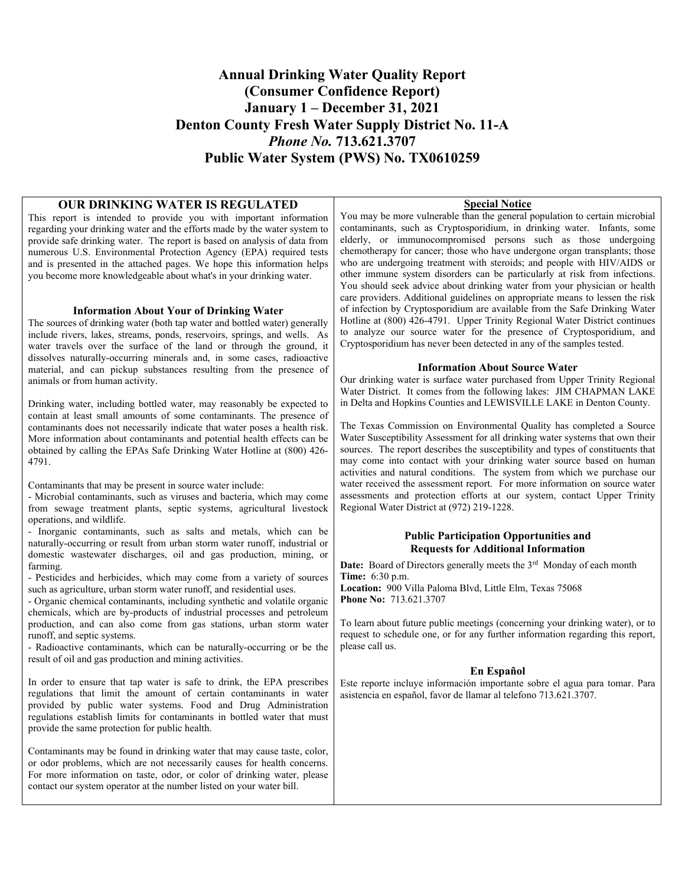## **Annual Drinking Water Quality Report (Consumer Confidence Report) January 1 – December 31, 2021 Denton County Fresh Water Supply District No. 11-A**  *Phone No.* **713.621.3707 Public Water System (PWS) No. TX0610259**

## **OUR DRINKING WATER IS REGULATED**

This report is intended to provide you with important information regarding your drinking water and the efforts made by the water system to provide safe drinking water. The report is based on analysis of data from numerous U.S. Environmental Protection Agency (EPA) required tests and is presented in the attached pages. We hope this information helps you become more knowledgeable about what's in your drinking water.

#### **Information About Your of Drinking Water**

The sources of drinking water (both tap water and bottled water) generally include rivers, lakes, streams, ponds, reservoirs, springs, and wells. As water travels over the surface of the land or through the ground, it dissolves naturally-occurring minerals and, in some cases, radioactive material, and can pickup substances resulting from the presence of animals or from human activity.

Drinking water, including bottled water, may reasonably be expected to contain at least small amounts of some contaminants. The presence of contaminants does not necessarily indicate that water poses a health risk. More information about contaminants and potential health effects can be obtained by calling the EPAs Safe Drinking Water Hotline at (800) 426- 4791.

Contaminants that may be present in source water include:

- Microbial contaminants, such as viruses and bacteria, which may come from sewage treatment plants, septic systems, agricultural livestock operations, and wildlife.

- Inorganic contaminants, such as salts and metals, which can be naturally-occurring or result from urban storm water runoff, industrial or domestic wastewater discharges, oil and gas production, mining, or farming.

- Pesticides and herbicides, which may come from a variety of sources such as agriculture, urban storm water runoff, and residential uses.

- Organic chemical contaminants, including synthetic and volatile organic chemicals, which are by-products of industrial processes and petroleum production, and can also come from gas stations, urban storm water runoff, and septic systems.

- Radioactive contaminants, which can be naturally-occurring or be the result of oil and gas production and mining activities.

In order to ensure that tap water is safe to drink, the EPA prescribes regulations that limit the amount of certain contaminants in water provided by public water systems. Food and Drug Administration regulations establish limits for contaminants in bottled water that must provide the same protection for public health.

Contaminants may be found in drinking water that may cause taste, color, or odor problems, which are not necessarily causes for health concerns. For more information on taste, odor, or color of drinking water, please contact our system operator at the number listed on your water bill.

#### **Special Notice**

You may be more vulnerable than the general population to certain microbial contaminants, such as Cryptosporidium, in drinking water. Infants, some elderly, or immunocompromised persons such as those undergoing chemotherapy for cancer; those who have undergone organ transplants; those who are undergoing treatment with steroids; and people with HIV/AIDS or other immune system disorders can be particularly at risk from infections. You should seek advice about drinking water from your physician or health care providers. Additional guidelines on appropriate means to lessen the risk of infection by Cryptosporidium are available from the Safe Drinking Water Hotline at (800) 426-4791. Upper Trinity Regional Water District continues to analyze our source water for the presence of Cryptosporidium, and Cryptosporidium has never been detected in any of the samples tested.

#### **Information About Source Water**

Our drinking water is surface water purchased from Upper Trinity Regional Water District. It comes from the following lakes: JIM CHAPMAN LAKE in Delta and Hopkins Counties and LEWISVILLE LAKE in Denton County.

The Texas Commission on Environmental Quality has completed a Source Water Susceptibility Assessment for all drinking water systems that own their sources. The report describes the susceptibility and types of constituents that may come into contact with your drinking water source based on human activities and natural conditions. The system from which we purchase our water received the assessment report. For more information on source water assessments and protection efforts at our system, contact Upper Trinity Regional Water District at (972) 219-1228.

### **Public Participation Opportunities and Requests for Additional Information**

**Date:** Board of Directors generally meets the 3<sup>rd</sup> Monday of each month **Time:** 6:30 p.m.

**Location:** 900 Villa Paloma Blvd, Little Elm, Texas 75068 **Phone No:** 713.621.3707

To learn about future public meetings (concerning your drinking water), or to request to schedule one, or for any further information regarding this report, please call us.

#### **En Español**

Este reporte incluye información importante sobre el agua para tomar. Para asistencia en español, favor de llamar al telefono 713.621.3707.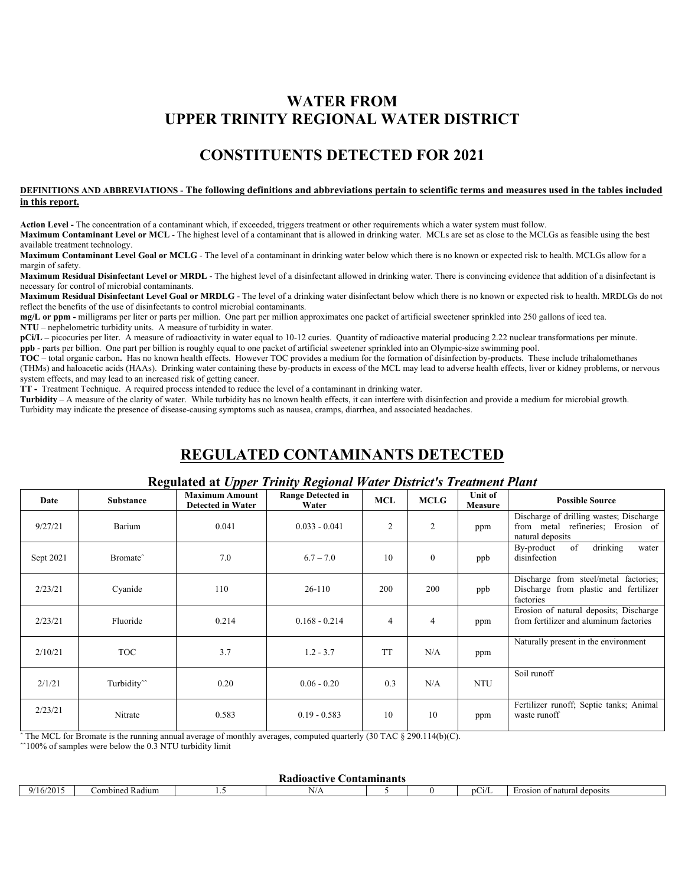# **WATER FROM UPPER TRINITY REGIONAL WATER DISTRICT**

# **CONSTITUENTS DETECTED FOR 2021**

#### **DEFINITIONS AND ABBREVIATIONS - The following definitions and abbreviations pertain to scientific terms and measures used in the tables included in this report.**

**Action Level -** The concentration of a contaminant which, if exceeded, triggers treatment or other requirements which a water system must follow.

**Maximum Contaminant Level or MCL** - The highest level of a contaminant that is allowed in drinking water. MCLs are set as close to the MCLGs as feasible using the best available treatment technology.

**Maximum Contaminant Level Goal or MCLG** - The level of a contaminant in drinking water below which there is no known or expected risk to health. MCLGs allow for a margin of safety.

**Maximum Residual Disinfectant Level or MRDL** - The highest level of a disinfectant allowed in drinking water. There is convincing evidence that addition of a disinfectant is necessary for control of microbial contaminants.

**Maximum Residual Disinfectant Level Goal or MRDLG** - The level of a drinking water disinfectant below which there is no known or expected risk to health. MRDLGs do not reflect the benefits of the use of disinfectants to control microbial contaminants.

**mg/L or ppm -** milligrams per liter or parts per million. One part per million approximates one packet of artificial sweetener sprinkled into 250 gallons of iced tea. **NTU** – nephelometric turbidity units. A measure of turbidity in water.

**pCi/L** – picocuries per liter. A measure of radioactivity in water equal to 10-12 curies. Quantity of radioactive material producing 2.22 nuclear transformations per minute. **ppb** - parts per billion. One part per billion is roughly equal to one packet of artificial sweetener sprinkled into an Olympic-size swimming pool.

**TOC** – total organic carbon**.** Has no known health effects. However TOC provides a medium for the formation of disinfection by-products. These include trihalomethanes (THMs) and haloacetic acids (HAAs). Drinking water containing these by-products in excess of the MCL may lead to adverse health effects, liver or kidney problems, or nervous system effects, and may lead to an increased risk of getting cancer.

**TT -** Treatment Technique. A required process intended to reduce the level of a contaminant in drinking water.

**Turbidity** – A measure of the clarity of water. While turbidity has no known health effects, it can interfere with disinfection and provide a medium for microbial growth. Turbidity may indicate the presence of disease-causing symptoms such as nausea, cramps, diarrhea, and associated headaches.

# **REGULATED CONTAMINANTS DETECTED**

## **Regulated at** *Upper Trinity Regional Water District's Treatment Plant*

| Date      | Substance               | <b>Maximum Amount</b><br><b>Detected in Water</b> | <b>Range Detected in</b><br>Water | <b>MCL</b>     | <b>MCLG</b>    | Unit of<br>Measure | <b>Possible Source</b>                                                                           |
|-----------|-------------------------|---------------------------------------------------|-----------------------------------|----------------|----------------|--------------------|--------------------------------------------------------------------------------------------------|
| 9/27/21   | Barium                  | 0.041                                             | $0.033 - 0.041$                   | $\overline{2}$ | $\overline{c}$ | ppm                | Discharge of drilling wastes; Discharge<br>from metal refineries; Erosion of<br>natural deposits |
| Sept 2021 | Bromate <sup>^</sup>    | 7.0                                               | $6.7 - 7.0$                       | 10             | $\theta$       | ppb                | drinking<br>of<br>By-product<br>water<br>disinfection                                            |
| 2/23/21   | Cyanide                 | 110                                               | $26-110$                          | 200            | 200            | ppb                | Discharge from steel/metal factories;<br>Discharge from plastic and fertilizer<br>factories      |
| 2/23/21   | Fluoride                | 0.214                                             | $0.168 - 0.214$                   | $\overline{4}$ | $\overline{4}$ | ppm                | Erosion of natural deposits; Discharge<br>from fertilizer and aluminum factories                 |
| 2/10/21   | <b>TOC</b>              | 3.7                                               | $1.2 - 3.7$                       | <b>TT</b>      | N/A            | ppm                | Naturally present in the environment                                                             |
| 2/1/21    | Turbidity <sup>^^</sup> | 0.20                                              | $0.06 - 0.20$                     | 0.3            | N/A            | <b>NTU</b>         | Soil runoff                                                                                      |
| 2/23/21   | Nitrate                 | 0.583                                             | $0.19 - 0.583$                    | 10             | 10             | ppm                | Fertilizer runoff; Septic tanks; Animal<br>waste runoff                                          |

The MCL for Bromate is the running annual average of monthly averages, computed quarterly  $(30 \text{ TAC} \S 290.114(b)(C))$ .

 $^{\circ}100\%$  of samples were below the 0.3 NTU turbidity limit

| <b>Contaminants</b><br>eurta ortuta<br>июасы |                 |   |     |  |  |             |                                  |  |  |
|----------------------------------------------|-----------------|---|-----|--|--|-------------|----------------------------------|--|--|
| 16/2015<br>Q/1                               | ⊅ombined Radium | . | N/A |  |  | --<br>11.21 | l deposits<br>Erosion of natural |  |  |